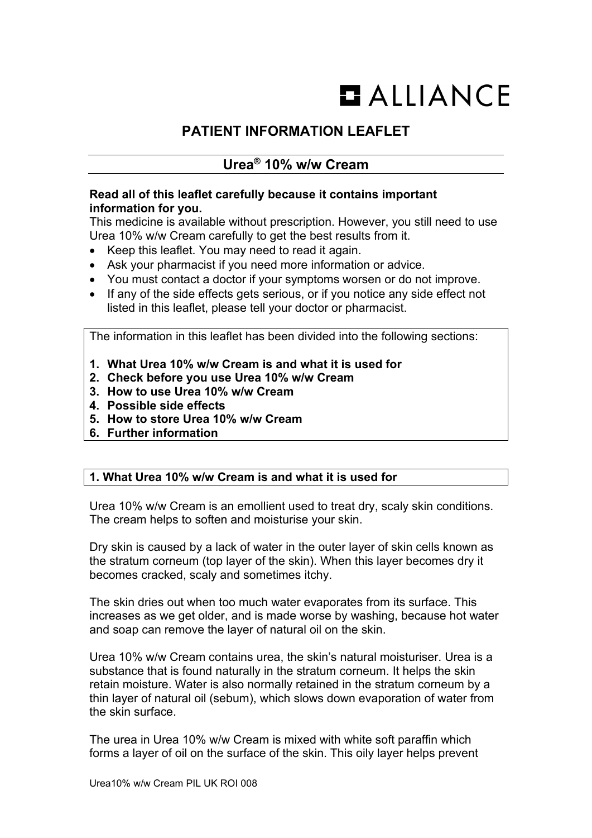# $$

# **PATIENT INFORMATION LEAFLET**

# **Urea® 10% w/w Cream**

## **Read all of this leaflet carefully because it contains important information for you.**

This medicine is available without prescription. However, you still need to use Urea 10% w/w Cream carefully to get the best results from it.

- Keep this leaflet. You may need to read it again.
- Ask your pharmacist if you need more information or advice.
- You must contact a doctor if your symptoms worsen or do not improve.
- If any of the side effects gets serious, or if you notice any side effect not listed in this leaflet, please tell your doctor or pharmacist.

The information in this leaflet has been divided into the following sections:

- **1. What Urea 10% w/w Cream is and what it is used for**
- **2. Check before you use Urea 10% w/w Cream**
- **3. How to use Urea 10% w/w Cream**
- **4. Possible side effects**
- **5. How to store Urea 10% w/w Cream**
- **6. Further information**

## **1. What Urea 10% w/w Cream is and what it is used for**

Urea 10% w/w Cream is an emollient used to treat dry, scaly skin conditions. The cream helps to soften and moisturise your skin.

Dry skin is caused by a lack of water in the outer layer of skin cells known as the stratum corneum (top layer of the skin). When this layer becomes dry it becomes cracked, scaly and sometimes itchy.

The skin dries out when too much water evaporates from its surface. This increases as we get older, and is made worse by washing, because hot water and soap can remove the layer of natural oil on the skin.

Urea 10% w/w Cream contains urea, the skin's natural moisturiser. Urea is a substance that is found naturally in the stratum corneum. It helps the skin retain moisture. Water is also normally retained in the stratum corneum by a thin layer of natural oil (sebum), which slows down evaporation of water from the skin surface.

The urea in Urea 10% w/w Cream is mixed with white soft paraffin which forms a layer of oil on the surface of the skin. This oily layer helps prevent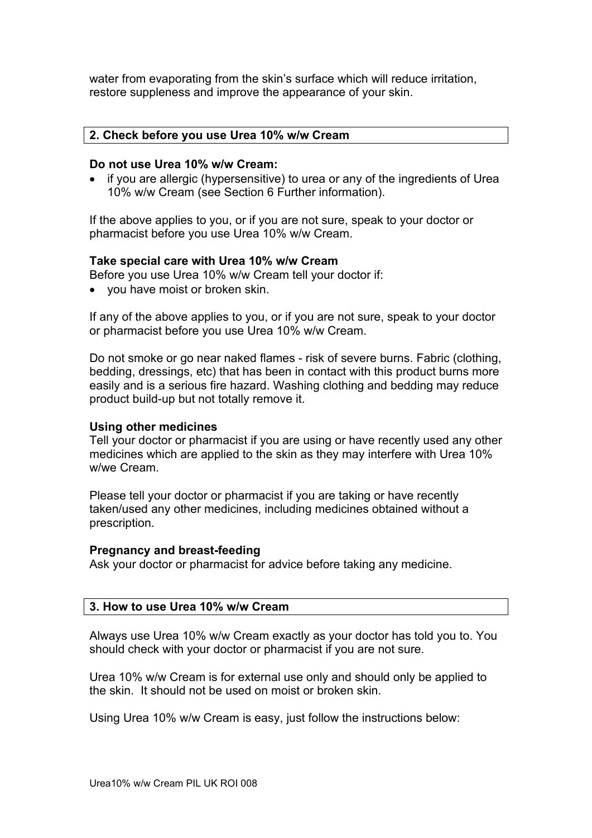water from evaporating from the skin's surface which will reduce irritation, restore suppleness and improve the appearance of your skin.

#### **2. Check before you use Urea 10% w/w Cream**

#### **Do not use Urea 10% w/w Cream:**

• if you are allergic (hypersensitive) to urea or any of the ingredients of Urea 10% w/w Cream (see Section 6 Further information).

If the above applies to you, or if you are not sure, speak to your doctor or pharmacist before you use Urea 10% w/w Cream.

#### **Take special care with Urea 10% w/w Cream**

Before you use Urea 10% w/w Cream tell your doctor if:

• you have moist or broken skin.

If any of the above applies to you, or if you are not sure, speak to your doctor or pharmacist before you use Urea 10% w/w Cream.

Do not smoke or go near naked flames - risk of severe burns. Fabric (clothing, bedding, dressings, etc) that has been in contact with this product burns more easily and is a serious fire hazard. Washing clothing and bedding may reduce product build-up but not totally remove it.

#### **Using other medicines**

Tell your doctor or pharmacist if you are using or have recently used any other medicines which are applied to the skin as they may interfere with Urea 10% w/we Cream.

Please tell your doctor or pharmacist if you are taking or have recently taken/used any other medicines, including medicines obtained without a prescription.

#### **Pregnancy and breast-feeding**

Ask your doctor or pharmacist for advice before taking any medicine.

#### **3. How to use Urea 10% w/w Cream**

Always use Urea 10% w/w Cream exactly as your doctor has told you to. You should check with your doctor or pharmacist if you are not sure.

Urea 10% w/w Cream is for external use only and should only be applied to the skin. It should not be used on moist or broken skin.

Using Urea 10% w/w Cream is easy, just follow the instructions below: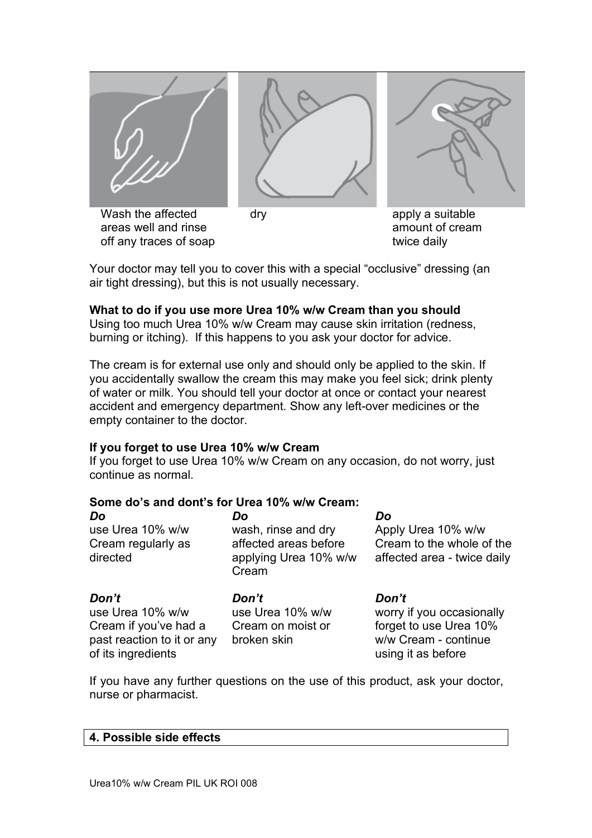

Your doctor may tell you to cover this with a special "occlusive" dressing (an air tight dressing), but this is not usually necessary.

#### **What to do if you use more Urea 10% w/w Cream than you should**

Using too much Urea 10% w/w Cream may cause skin irritation (redness, burning or itching). If this happens to you ask your doctor for advice.

The cream is for external use only and should only be applied to the skin. If you accidentally swallow the cream this may make you feel sick; drink plenty of water or milk. You should tell your doctor at once or contact your nearest accident and emergency department. Show any left-over medicines or the empty container to the doctor.

#### **If you forget to use Urea 10% w/w Cream**

If you forget to use Urea 10% w/w Cream on any occasion, do not worry, just continue as normal.

# **Some do's and dont's for Urea 10% w/w Cream:**

| Do<br>use Urea 10% w/w<br>Cream regularly as<br>directed                                               | Do<br>wash, rinse and dry<br>affected areas before<br>applying Urea 10% w/w<br>Cream | Do<br>Apply Urea 10% w/w<br>Cream to the whole of the<br>affected area - twice daily                       |
|--------------------------------------------------------------------------------------------------------|--------------------------------------------------------------------------------------|------------------------------------------------------------------------------------------------------------|
| Don't<br>use Urea 10% w/w<br>Cream if you've had a<br>past reaction to it or any<br>of its ingredients | Don't<br>use Urea 10% w/w<br>Cream on moist or<br>broken skin                        | Don't<br>worry if you occasionally<br>forget to use Urea 10%<br>w/w Cream - continue<br>using it as before |

If you have any further questions on the use of this product, ask your doctor, nurse or pharmacist.

#### **4. Possible side effects**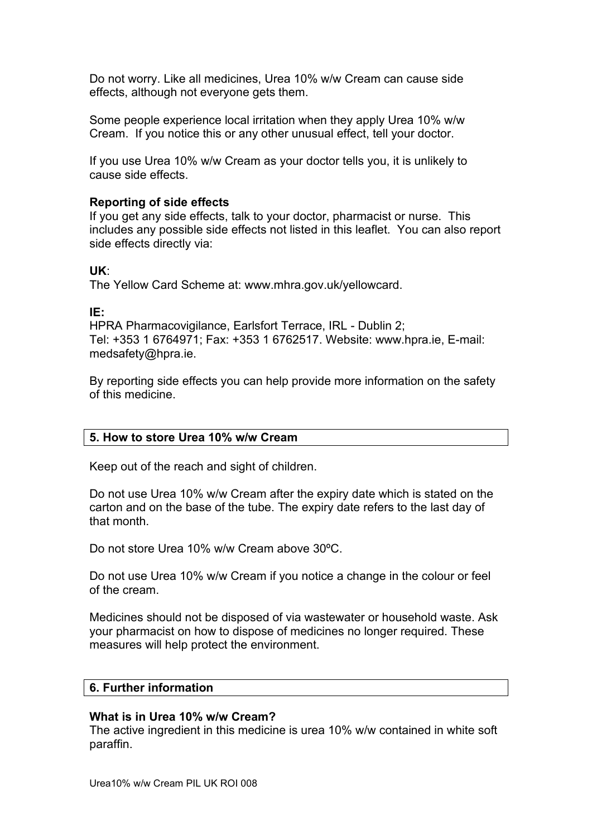Do not worry. Like all medicines, Urea 10% w/w Cream can cause side effects, although not everyone gets them.

Some people experience local irritation when they apply Urea 10% w/w Cream. If you notice this or any other unusual effect, tell your doctor.

If you use Urea 10% w/w Cream as your doctor tells you, it is unlikely to cause side effects.

### **Reporting of side effects**

If you get any side effects, talk to your doctor, pharmacist or nurse. This includes any possible side effects not listed in this leaflet. You can also report side effects directly via:

#### **UK**:

The Yellow Card Scheme at: www.mhra.gov.uk/yellowcard.

#### **IE:**

HPRA Pharmacovigilance, Earlsfort Terrace, IRL - Dublin 2; Tel: +353 1 6764971; Fax: +353 1 6762517. Website: www.hpra.ie, E-mail: medsafety@hpra.ie.

By reporting side effects you can help provide more information on the safety of this medicine.

#### **5. How to store Urea 10% w/w Cream**

Keep out of the reach and sight of children.

Do not use Urea 10% w/w Cream after the expiry date which is stated on the carton and on the base of the tube. The expiry date refers to the last day of that month.

Do not store Urea 10% w/w Cream above 30ºC.

Do not use Urea 10% w/w Cream if you notice a change in the colour or feel of the cream.

Medicines should not be disposed of via wastewater or household waste. Ask your pharmacist on how to dispose of medicines no longer required. These measures will help protect the environment.

#### **6. Further information**

#### **What is in Urea 10% w/w Cream?**

The active ingredient in this medicine is urea 10% w/w contained in white soft paraffin.